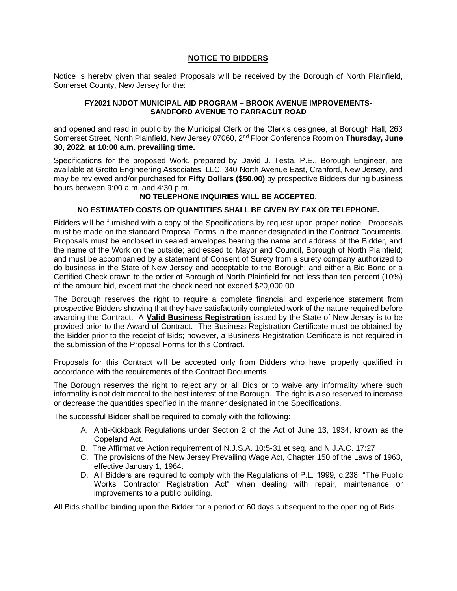## **NOTICE TO BIDDERS**

Notice is hereby given that sealed Proposals will be received by the Borough of North Plainfield, Somerset County, New Jersey for the:

## **FY2021 NJDOT MUNICIPAL AID PROGRAM – BROOK AVENUE IMPROVEMENTS-SANDFORD AVENUE TO FARRAGUT ROAD**

and opened and read in public by the Municipal Clerk or the Clerk's designee, at Borough Hall, 263 Somerset Street, North Plainfield, New Jersey 07060, 2nd Floor Conference Room on **Thursday, June 30, 2022, at 10:00 a.m. prevailing time.** 

Specifications for the proposed Work, prepared by David J. Testa, P.E., Borough Engineer, are available at Grotto Engineering Associates, LLC, 340 North Avenue East, Cranford, New Jersey, and may be reviewed and/or purchased for **Fifty Dollars (\$50.00)** by prospective Bidders during business hours between 9:00 a.m. and 4:30 p.m.

## **NO TELEPHONE INQUIRIES WILL BE ACCEPTED.**

## **NO ESTIMATED COSTS OR QUANTITIES SHALL BE GIVEN BY FAX OR TELEPHONE.**

Bidders will be furnished with a copy of the Specifications by request upon proper notice. Proposals must be made on the standard Proposal Forms in the manner designated in the Contract Documents. Proposals must be enclosed in sealed envelopes bearing the name and address of the Bidder, and the name of the Work on the outside; addressed to Mayor and Council, Borough of North Plainfield; and must be accompanied by a statement of Consent of Surety from a surety company authorized to do business in the State of New Jersey and acceptable to the Borough; and either a Bid Bond or a Certified Check drawn to the order of Borough of North Plainfield for not less than ten percent (10%) of the amount bid, except that the check need not exceed \$20,000.00.

The Borough reserves the right to require a complete financial and experience statement from prospective Bidders showing that they have satisfactorily completed work of the nature required before awarding the Contract. A **Valid Business Registration** issued by the State of New Jersey is to be provided prior to the Award of Contract. The Business Registration Certificate must be obtained by the Bidder prior to the receipt of Bids; however, a Business Registration Certificate is not required in the submission of the Proposal Forms for this Contract.

Proposals for this Contract will be accepted only from Bidders who have properly qualified in accordance with the requirements of the Contract Documents.

The Borough reserves the right to reject any or all Bids or to waive any informality where such informality is not detrimental to the best interest of the Borough. The right is also reserved to increase or decrease the quantities specified in the manner designated in the Specifications.

The successful Bidder shall be required to comply with the following:

- A. Anti-Kickback Regulations under Section 2 of the Act of June 13, 1934, known as the Copeland Act.
- B. The Affirmative Action requirement of N.J.S.A. 10:5-31 et seq. and N.J.A.C. 17:27
- C. The provisions of the New Jersey Prevailing Wage Act, Chapter 150 of the Laws of 1963, effective January 1, 1964.
- D. All Bidders are required to comply with the Regulations of P.L. 1999, c.238, "The Public Works Contractor Registration Act" when dealing with repair, maintenance or improvements to a public building.

All Bids shall be binding upon the Bidder for a period of 60 days subsequent to the opening of Bids.